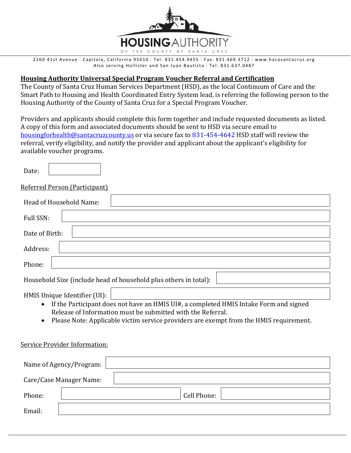

 2160 41st Avenue l Capitola, California 95010 l Tel: 831.454.9455 l Fax: 831.469.3712 l www.hacosantacruz.org Also serving Hollister and San Juan Bautista | Tel: 831.637.0487

### **Housing Authority Universal Special Program Voucher Referral and Certification**

The County of Santa Cruz Human Services Department (HSD), as the local Continuum of Care and the Smart Path to Housing and Health Coordinated Entry System lead, is referring the following person to the Housing Authority of the County of Santa Cruz for a Special Program Voucher.

Providers and applicants should complete this form together and include requested documents as listed. A copy of this form and associated documents should be sent to HSD via secure email to housingforhealth@santacruzcounty.us or via secure fax to 831-454-4642 HSD staff will review the referral, verify eligibility, and notify the provider and applicant about the applicant's eligibility for available voucher programs.

| Date: |                               |  |  |
|-------|-------------------------------|--|--|
|       | Referred Person (Participant) |  |  |

| Head of Household Name:                                          |  |  |  |
|------------------------------------------------------------------|--|--|--|
| Full SSN:                                                        |  |  |  |
| Date of Birth:                                                   |  |  |  |
| Address:                                                         |  |  |  |
| Phone:                                                           |  |  |  |
| Household Size (include head of household plus others in total): |  |  |  |
|                                                                  |  |  |  |

- HMIS Unique Identifier (UI):
	- If the Participant does not have an HMIS UI#, a completed HMIS Intake Form and signed Release of Information must be submitted with the Referral.
	- Please Note: Applicable victim service providers are exempt from the HMIS requirement.

### Service Provider Information:

|        | Name of Agency/Program: |             |
|--------|-------------------------|-------------|
|        | Care/Case Manager Name: |             |
| Phone: |                         | Cell Phone: |
| Email: |                         |             |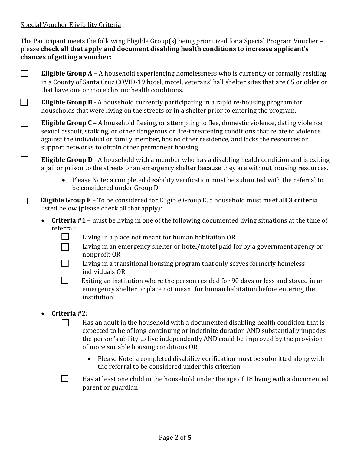## Special Voucher Eligibility Criteria

The Participant meets the following Eligible Group(s) being prioritized for a Special Program Voucher – please **check all that apply and document disabling health conditions to increase applicant's chances of getting a voucher:**

- ☐ **Eligible Group A** A household experiencing homelessness who is currently or formally residing in a County of Santa Cruz COVID-19 hotel, motel, veterans' hall shelter sites that are 65 or older or that have one or more chronic health conditions.
- ☐ **Eligible Group B** A household currently participating in a rapid re-housing program for households that were living on the streets or in a shelter prior to entering the program.
- ☐ **Eligible Group C** A household fleeing, or attempting to flee, domestic violence, dating violence, sexual assault, stalking, or other dangerous or life-threatening conditions that relate to violence against the individual or family member, has no other residence, and lacks the resources or support networks to obtain other permanent housing.
- ☐ **Eligible Group D** A household with a member who has a disabling health condition and is exiting a jail or prison to the streets or an emergency shelter because they are without housing resources.
	- Please Note: a completed disability verification must be submitted with the referral to be considered under Group D
- ☐ **Eligible Group E** To be considered for Eligible Group E, a household must meet **all 3 criteria** listed below (please check all that apply):
	- **Criteria #1** must be living in one of the following documented living situations at the time of referral:
		- $\Box$  Living in a place not meant for human habitation OR
		- ☐ Living in an emergency shelter or hotel/motel paid for by a government agency or nonprofit OR
		- $\Box$  Living in a transitional housing program that only serves formerly homeless individuals OR
		- $\Box$  Exiting an institution where the person resided for 90 days or less and stayed in an emergency shelter or place not meant for human habitation before entering the institution
	- **Criteria #2:**
		- $\Box$  Has an adult in the household with a documented disabling health condition that is expected to be of long-continuing or indefinite duration AND substantially impedes the person's ability to live independently AND could be improved by the provision of more suitable housing conditions OR
			- Please Note: a completed disability verification must be submitted along with the referral to be considered under this criterion
		- $\Box$  Has at least one child in the household under the age of 18 living with a documented parent or guardian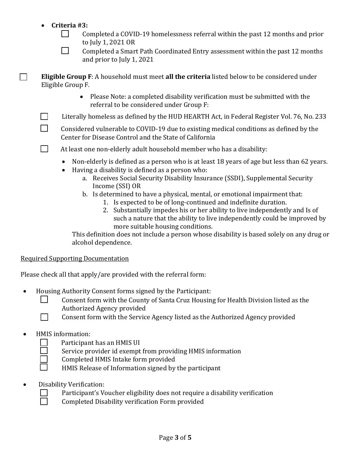# **Criteria #3:**

| Completed a COVID-19 homelessness referral within the past 12 months and prior |
|--------------------------------------------------------------------------------|
| to July 1, 2021 OR                                                             |

| Completed a Smart Path Coordinated Entry assessment within the past 12 months |
|-------------------------------------------------------------------------------|
| and prior to July 1, 2021                                                     |

☐ **Eligible Group F**: A household must meet **all the criteria** listed below to be considered under Eligible Group F.

- Please Note: a completed disability verification must be submitted with the referral to be considered under Group F:
- $\Box$  Literally homeless as defined by the HUD HEARTH Act, in Federal Register Vol. 76, No. 233

 $\Box$  Considered vulnerable to COVID-19 due to existing medical conditions as defined by the Center for Disease Control and the State of California

- $\Box$  At least one non-elderly adult household member who has a disability:
	- Non-elderly is defined as a person who is at least 18 years of age but less than 62 years.
	- Having a disability is defined as a person who:
		- a. Receives Social Security Disability Insurance (SSDI), Supplemental Security Income (SSI) OR
		- b. Is determined to have a physical, mental, or emotional impairment that:
			- 1. Is expected to be of long-continued and indefinite duration.
			- 2. Substantially impedes his or her ability to live independently and Is of such a nature that the ability to live independently could be improved by more suitable housing conditions.

This definition does not include a person whose disability is based solely on any drug or alcohol dependence.

### Required Supporting Documentation

Please check all that apply/are provided with the referral form:

- Housing Authority Consent forms signed by the Participant:
	- □ Consent form with the County of Santa Cruz Housing for Health Division listed as the Authorized Agency provided
	- ◯ Consent form with the Service Agency listed as the Authorized Agency provided

## HMIS information:

- Participant has an HMIS UI
- Service provider id exempt from providing HMIS information
- ☐ Completed HMIS Intake form provided
- HMIS Release of Information signed by the participant
- Disability Verification:
	- Participant's Voucher eligibility does not require a disability verification
	- ☐ Completed Disability verification Form provided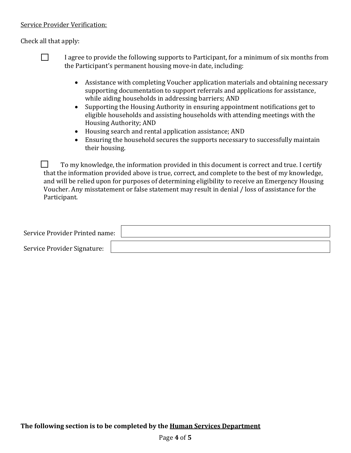## Service Provider Verification:

Check all that apply:



 $\Box$  I agree to provide the following supports to Participant, for a minimum of six months from the Participant's permanent housing move-in date, including:

- Assistance with completing Voucher application materials and obtaining necessary supporting documentation to support referrals and applications for assistance, while aiding households in addressing barriers; AND
- Supporting the Housing Authority in ensuring appointment notifications get to eligible households and assisting households with attending meetings with the Housing Authority; AND
- Housing search and rental application assistance; AND
- Ensuring the household secures the supports necessary to successfully maintain their housing.

 $\Box$  To my knowledge, the information provided in this document is correct and true. I certify that the information provided above is true, correct, and complete to the best of my knowledge, and will be relied upon for purposes of determining eligibility to receive an Emergency Housing Voucher. Any misstatement or false statement may result in denial / loss of assistance for the Participant.

| Service Provider Printed name: |  |
|--------------------------------|--|
| Service Provider Signature:    |  |